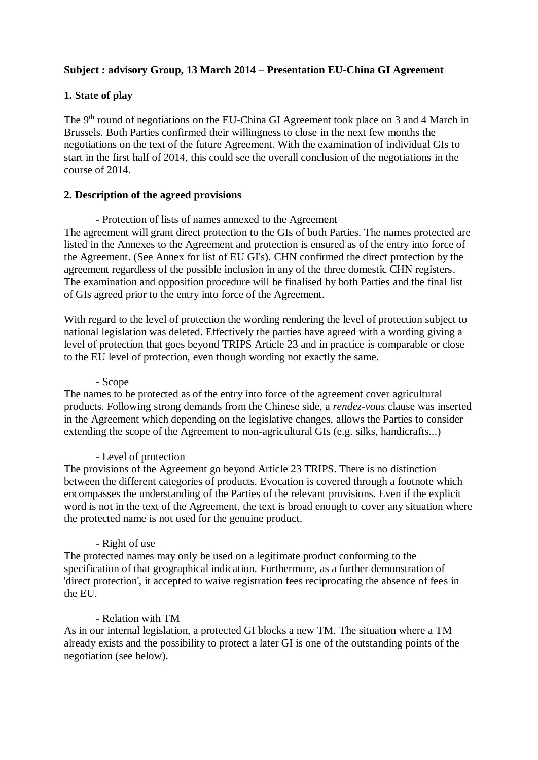# **Subject : advisory Group, 13 March 2014 – Presentation EU-China GI Agreement**

# **1. State of play**

The 9<sup>th</sup> round of negotiations on the EU-China GI Agreement took place on 3 and 4 March in Brussels. Both Parties confirmed their willingness to close in the next few months the negotiations on the text of the future Agreement. With the examination of individual GIs to start in the first half of 2014, this could see the overall conclusion of the negotiations in the course of 2014.

# **2. Description of the agreed provisions**

- Protection of lists of names annexed to the Agreement The agreement will grant direct protection to the GIs of both Parties. The names protected are listed in the Annexes to the Agreement and protection is ensured as of the entry into force of the Agreement. (See Annex for list of EU GI's). CHN confirmed the direct protection by the agreement regardless of the possible inclusion in any of the three domestic CHN registers. The examination and opposition procedure will be finalised by both Parties and the final list of GIs agreed prior to the entry into force of the Agreement.

With regard to the level of protection the wording rendering the level of protection subject to national legislation was deleted. Effectively the parties have agreed with a wording giving a level of protection that goes beyond TRIPS Article 23 and in practice is comparable or close to the EU level of protection, even though wording not exactly the same.

#### - Scope

The names to be protected as of the entry into force of the agreement cover agricultural products. Following strong demands from the Chinese side, a *rendez-vous* clause was inserted in the Agreement which depending on the legislative changes, allows the Parties to consider extending the scope of the Agreement to non-agricultural GIs (e.g. silks, handicrafts...)

# - Level of protection

The provisions of the Agreement go beyond Article 23 TRIPS. There is no distinction between the different categories of products. Evocation is covered through a footnote which encompasses the understanding of the Parties of the relevant provisions. Even if the explicit word is not in the text of the Agreement, the text is broad enough to cover any situation where the protected name is not used for the genuine product.

# - Right of use

The protected names may only be used on a legitimate product conforming to the specification of that geographical indication. Furthermore, as a further demonstration of 'direct protection', it accepted to waive registration fees reciprocating the absence of fees in the EU.

### - Relation with TM

As in our internal legislation, a protected GI blocks a new TM. The situation where a TM already exists and the possibility to protect a later GI is one of the outstanding points of the negotiation (see below).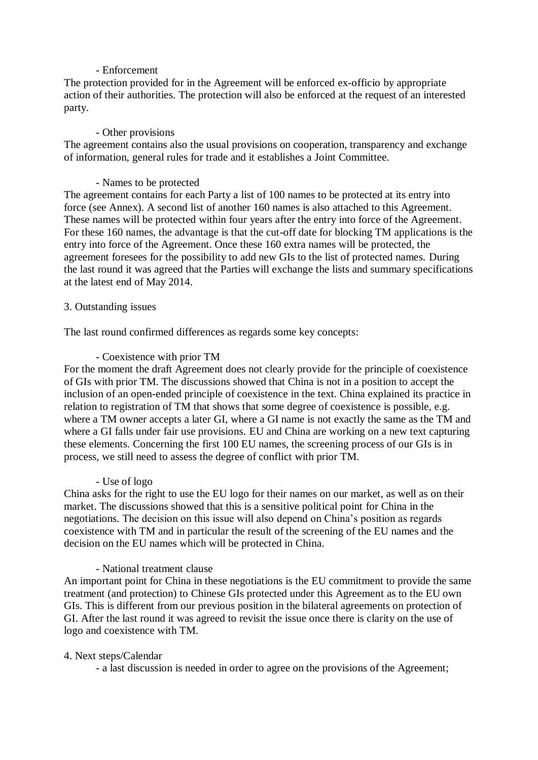### - Enforcement

The protection provided for in the Agreement will be enforced ex-officio by appropriate action of their authorities. The protection will also be enforced at the request of an interested party.

### - Other provisions

The agreement contains also the usual provisions on cooperation, transparency and exchange of information, general rules for trade and it establishes a Joint Committee.

### - Names to be protected

The agreement contains for each Party a list of 100 names to be protected at its entry into force (see Annex). A second list of another 160 names is also attached to this Agreement. These names will be protected within four years after the entry into force of the Agreement. For these 160 names, the advantage is that the cut-off date for blocking TM applications is the entry into force of the Agreement. Once these 160 extra names will be protected, the agreement foresees for the possibility to add new GIs to the list of protected names. During the last round it was agreed that the Parties will exchange the lists and summary specifications at the latest end of May 2014.

### 3. Outstanding issues

The last round confirmed differences as regards some key concepts:

### - Coexistence with prior TM

For the moment the draft Agreement does not clearly provide for the principle of coexistence of GIs with prior TM. The discussions showed that China is not in a position to accept the inclusion of an open-ended principle of coexistence in the text. China explained its practice in relation to registration of TM that shows that some degree of coexistence is possible, e.g. where a TM owner accepts a later GI, where a GI name is not exactly the same as the TM and where a GI falls under fair use provisions. EU and China are working on a new text capturing these elements. Concerning the first 100 EU names, the screening process of our GIs is in process, we still need to assess the degree of conflict with prior TM.

#### - Use of logo

China asks for the right to use the EU logo for their names on our market, as well as on their market. The discussions showed that this is a sensitive political point for China in the negotiations. The decision on this issue will also depend on China's position as regards coexistence with TM and in particular the result of the screening of the EU names and the decision on the EU names which will be protected in China.

# - National treatment clause

An important point for China in these negotiations is the EU commitment to provide the same treatment (and protection) to Chinese GIs protected under this Agreement as to the EU own GIs. This is different from our previous position in the bilateral agreements on protection of GI. After the last round it was agreed to revisit the issue once there is clarity on the use of logo and coexistence with TM.

#### 4. Next steps/Calendar

- a last discussion is needed in order to agree on the provisions of the Agreement;